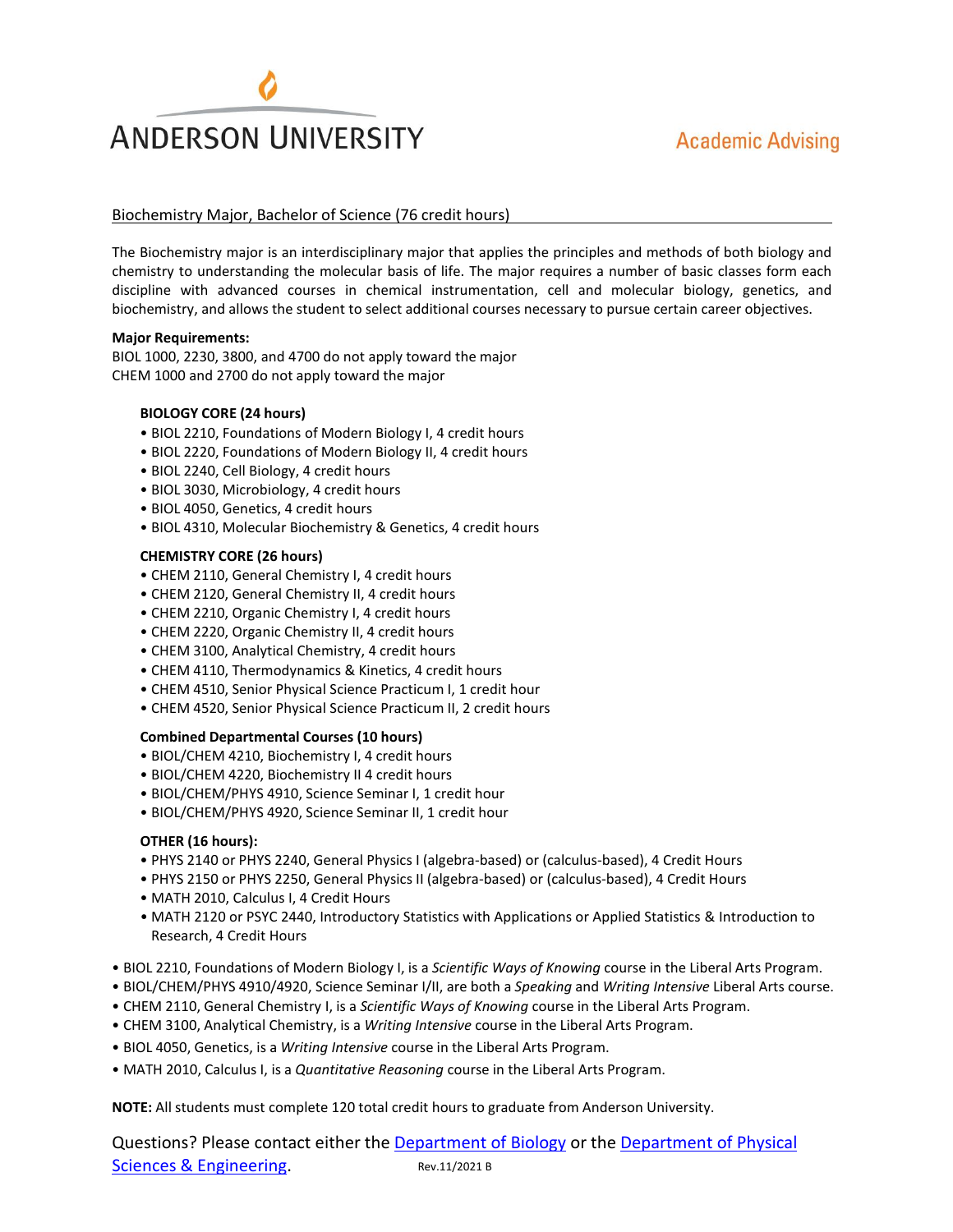# **ANDERSON UNIVERSITY**

# Biochemistry Major, Bachelor of Science (76 credit hours)

The Biochemistry major is an interdisciplinary major that applies the principles and methods of both biology and chemistry to understanding the molecular basis of life. The major requires a number of basic classes form each discipline with advanced courses in chemical instrumentation, cell and molecular biology, genetics, and biochemistry, and allows the student to select additional courses necessary to pursue certain career objectives.

#### **Major Requirements:**

BIOL 1000, 2230, 3800, and 4700 do not apply toward the major CHEM 1000 and 2700 do not apply toward the major

#### **BIOLOGY CORE (24 hours)**

- BIOL 2210, Foundations of Modern Biology I, 4 credit hours
- BIOL 2220, Foundations of Modern Biology II, 4 credit hours
- BIOL 2240, Cell Biology, 4 credit hours
- BIOL 3030, Microbiology, 4 credit hours
- BIOL 4050, Genetics, 4 credit hours
- BIOL 4310, Molecular Biochemistry & Genetics, 4 credit hours

### **CHEMISTRY CORE (26 hours)**

- CHEM 2110, General Chemistry I, 4 credit hours
- CHEM 2120, General Chemistry II, 4 credit hours
- CHEM 2210, Organic Chemistry I, 4 credit hours
- CHEM 2220, Organic Chemistry II, 4 credit hours
- CHEM 3100, Analytical Chemistry, 4 credit hours
- CHEM 4110, Thermodynamics & Kinetics, 4 credit hours
- CHEM 4510, Senior Physical Science Practicum I, 1 credit hour
- CHEM 4520, Senior Physical Science Practicum II, 2 credit hours

#### **Combined Departmental Courses (10 hours)**

- BIOL/CHEM 4210, Biochemistry I, 4 credit hours
- BIOL/CHEM 4220, Biochemistry II 4 credit hours
- BIOL/CHEM/PHYS 4910, Science Seminar I, 1 credit hour
- BIOL/CHEM/PHYS 4920, Science Seminar II, 1 credit hour

### **OTHER (16 hours):**

- PHYS 2140 or PHYS 2240, General Physics I (algebra-based) or (calculus-based), 4 Credit Hours
- PHYS 2150 or PHYS 2250, General Physics II (algebra-based) or (calculus-based), 4 Credit Hours
- MATH 2010, Calculus I, 4 Credit Hours
- MATH 2120 or PSYC 2440, Introductory Statistics with Applications or Applied Statistics & Introduction to Research, 4 Credit Hours
- BIOL 2210, Foundations of Modern Biology I, is a *Scientific Ways of Knowing* course in the Liberal Arts Program.
- BIOL/CHEM/PHYS 4910/4920, Science Seminar I/II, are both a *Speaking* and *Writing Intensive* Liberal Arts course.
- CHEM 2110, General Chemistry I, is a *Scientific Ways of Knowing* course in the Liberal Arts Program.
- CHEM 3100, Analytical Chemistry, is a *Writing Intensive* course in the Liberal Arts Program.
- BIOL 4050, Genetics, is a *Writing Intensive* course in the Liberal Arts Program.
- MATH 2010, Calculus I, is a *Quantitative Reasoning* course in the Liberal Arts Program.

**NOTE:** All students must complete 120 total credit hours to graduate from Anderson University.

Questions? Please contact either the Department of Biology or the Department of Physical Sciences & Engineering. Rev.11/2021 B